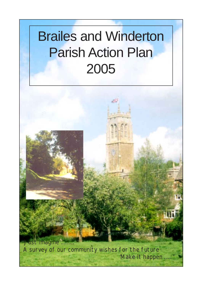# Brailes and Winderton Parish Action Plan 2005

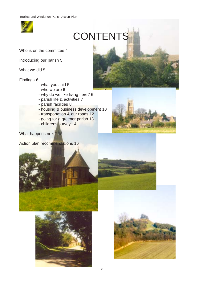

# **CONTENTS**

Who is on the committee 4

Introducing our parish 5

What we did 5

Findings 6

- what you said 5
- who we are 6
- why do we like living here? 6
- parish life & activities 7
- parish facilities 8
- housing & business development 10
- transportation & our roads 12
- going for a greener parish 13
- childrens survey 14



Action plan recommendations 16







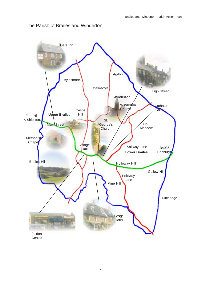#### The Parish of Brailes and Winderton

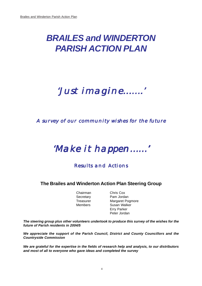## *BRAILES and WINDERTON PARISH ACTION PLAN*

## 'Just imagine…….' 'Just imagine…….''Just imagine…….'

### A survey of our community wishes for the future

## 'Make it happen……'

### Results and Actions

#### **The Brailes and Winderton Action Plan Steering Group**

Chairman Chris Cox

Secretary Pam Jordan Treasurer Margaret Pogmore Members Susan Walker Erry Parker Peter Jordan

*The steering group plus other volunteers undertook to produce this survey of the wishes for the future of Parish residents in 2004/5*

*We appreciate the support of the Parish Council, District and County Councillors and the Countryside Commission*

*We are grateful for the expertise in the fields of research help and analysis, to our distributors and most of all to everyone who gave ideas and completed the survey*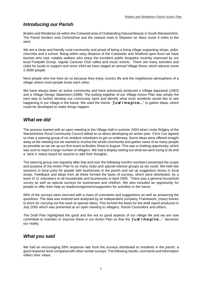#### *Introducing our Parish*

Brailes and Winderton lie within the Cotswold area of Outstanding Natural Beauty in South Warwickshire. The Parish borders onto Oxfordshire and the nearest town is Shipston on Stour some 4 miles to the west.

We are a close and friendly rural community and proud of being a living village supporting shops, pubs, churches and a school. Being within easy distance of the Cotswolds and Stratford upon Avon we have tourists who visit, notably walkers who enjoy the excellent public footpaths recently improved by our local Footpath Group, regular Caravan Club rallies and music events. There are many activities and clubs for locals to support and since 1943 we have staged an annual Village Show, which attracts some 2-3000 people.

Most people who live here do so because they enjoy country life and the neighbourly atmosphere of a village where most people know each other.

We have always been an active community and have previously produced a Village Appraisal (1993) and a Village Design Statement (1998). The putting together of our Village Action Plan was simply the next step to further develop our community spirit and identify what most residents would like to see happening in our village in the future. We used the theme  $'Just Image$  in  $d$  to gather ideas, which could be developed to make things happen.

#### *What we did*

The process started with an open meeting in the Village Hall in summer 2004 when Linda Ridgley of the Warwickshire Rural Community Council talked to us about developing an action plan. Chris Cox agreed to chair a steering group of six resident volunteers to get us underway. Some ideas were offered straight away at the meeting but we wanted to involve the whole community and gather views of as many people as possible so we set up our first event at Brailes Show in August. This was a chatting opportunity, which was sure to reach a large number of villagers. We had a display setting out what we were trying to do and a 'stick it' notice board for anyone to add their thoughts.

The steering group met regularly after that and over the following months members presented the scope and purpose of the Action Plan to as many clubs and special interest groups as we could. We held two sessions in local pubs for people with businesses in the parish and set up suggestion boxes in local shops. Feedback and ideas from all these formed the basis of surveys, which were distributed, by a team of 11 volunteers to all households and businesses in April 2005. There was a general household survey as well as special surveys for businesses and children. We also included an opportunity for people to offer their help as leaders/organisers/supporters for activities in the future.

58% of the surveys were returned with a mass of comments and suggestions as well as answering the questions. The data was entered and analysed by an independent company, Framework, (many thanks to them for carrying out this work at special rates). This formed the basis for the draft report produced in July 2005 which was presented at an open meeting to villagers, Parish Councillors and others.

The Draft Plan highlighted the good and the not so good aspects of our village life and we are now committed to maintain or improve these in our Action Plan so that the 'Just Imagine...' becomes our reality.

#### *What you said*

We had an encouraging 58% response rate from the surveys distributed to residents in the parish; a good response level compared with other similar surveys. The following results, comments and information reflect their views.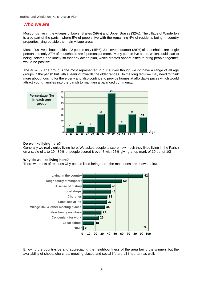#### *Who we are*

Most of us live in the villages of Lower Brailes (59%) and Upper Brailes (32%). The village of Winderton is also part of the parish where 5% of people live with the remaining 4% of residents being in country properties lying outside the main village areas.

Most of us live in households of 2 people only (45%). Just over a quarter (28%) of households are single person and only 27% of households are 3 persons or more. Many people live alone, which could lead to being isolated and lonely so that any action plan, which creates opportunities to bring people together, would be positive.

The 40 – 59 age group is the most represented in our survey though we do have a range of all age groups in the parish but with a leaning towards the older ranges. In the long term we may need to think more about housing for the elderly and also continue to provide homes at affordable prices which would attract young families into the parish to maintain a balanced community.



#### **Do we like living here?**

Generally we really enjoy living here. We asked people to score how much they liked living in the Parish on a scale of 1 to 10. 89% of people scored it over 7 with 25% giving a top mark of 10 out of 10!

#### **Why do we like living here?**

There were lots of reasons why people liked being here, the main ones are shown below.



Enjoying the countryside and appreciating the neighbourliness of the area being the winners but the availability of shops, churches, meeting places and social life are all important as well.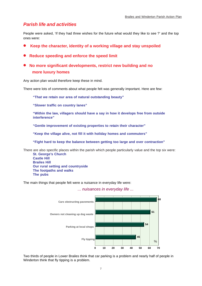#### *Parish life and activities*

People were asked, 'If they had three wishes for the future what would they like to see ?' and the top ones were:

- **Keep the character, identity of a working village and stay unspoiled**
- **• Reduce speeding and enforce the speed limit**
- **No more significant developments, restrict new building and no more luxury homes**

Any action plan would therefore keep these in mind.

There were lots of comments about what people felt was generally important. Here are few:

**"That we retain our area of natural outstanding beauty"**

**"Slower traffic on country lanes"**

**"Within the law, villagers should have a say in how it develops free from outside interference"**

**"Gentle improvement of existing properties to retain their character"**

**"Keep the village alive, not fill it with holiday homes and commuters"**

**"Fight hard to keep the balance between getting too large and over contraction"**

There are also specific places within the parish which people particularly value and the top six were: **St. George's Church**

**Castle Hill Brailes Hill Our rural setting and countryside The footpaths and walks The pubs**

The main things that people felt were a nuisance in everyday life were:



*... nuisances in everyday life ...*

Two thirds of people in Lower Brailes think that car parking is a problem and nearly half of people in Winderton think that fly tipping is a problem.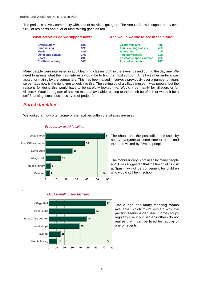The parish is a lively community with a lot of activities going on. The Annual Show is supported by over 90% of residents and a lot of fund-raising goes on too.

#### **What activities do we support now? And would we like to see in the future?**

| <b>Brailes Show</b>         | 92%        | <b>Village museum</b>        | 43% |
|-----------------------------|------------|------------------------------|-----|
| <b>Fund raising</b>         | 52%        | <b>Adult evening classes</b> | 41% |
| <b>Music</b>                | 42%        | <b>Tennis club</b>           | 31% |
| <b>Other club activity</b>  | 27%        | <b>Adult day classes</b>     | 31% |
| <b>Sport</b>                | <b>20%</b> | All weather sports surface   | 31% |
| <b>Craft/skill activity</b> | 14%        | <b>Art/craft workshop</b>    | 28% |

Many people were interested in adult learning classes both in the evenings and during the daytime. We need to assess what the main interests would be to find the most support. An all weather surface was asked for mainly by the youngsters. This has been raised in surveys previously over a number of years so perhaps now is the right time to look into this. The setting up of a village museum was popular but the reasons for doing this would have to be carefully looked into. Would it be mainly for villagers or for visitors? Would a register of archive material available relating to the parish be of use or would it be a self-financing 'small business' type of project?

#### *Parish facilities*

We looked at how often some of the facilities within the villages are used.



*Frequently used facilities*

The shops and the post office are used by nearly everyone at some time or other and the pubs visited by 85% of people*.*

The mobile library is not used by many people and it was suggested that the timing of its visit at 3pm may not be convenient for children who would still be in school.



#### *Occasionally used facilities*

The village has many meeting rooms available, which might explain why the pavilion seems under used. Some groups regularly use it but perhaps others do not realise that it can be hired for regular or one off events.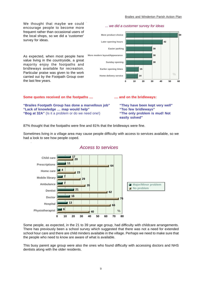We thought that maybe we could encourage people to become more frequent rather than occasional users of the local shops, so we did a 'customer' survey for ideas.

#### *... we did a customer survey for ideas*



As expected, when most people here value living in the countryside, a great majority enjoy the footpaths and bridleways available for recreation. Particular praise was given to the work carried out by the Footpath Group over the last few years.

#### **Some quotes received on the footpaths .... <b>All and Some quotes received on the footpaths .... and on the bridleways:**

**"Brailes Footpath Group has done a marvellous job" "They have been kept very well" "Lack of knowledge … map would help" "Too few bridleways" "Bog at 32A"** (Is it a problem or do we need one!) **"The only problem is mud! Not**

**easily solved"**

87% thought that the footpaths were fine and 81% that the bridleways were fine.

Sometimes living in a village area may cause people difficulty with access to services available, so we had a look to see how people coped.



#### *Access to services*

Some people, as expected, in the 21 to 39 year age group, had difficulty with childcare arrangements. There has previously been a school survey which suggested that there was not a need for extended school hour care and there are child minders available in the village. Perhaps we need to make sure that the people who need to know are aware of what is available.

This busy parent age group were also the ones who found difficulty with accessing doctors and NHS dentists along with the older residents.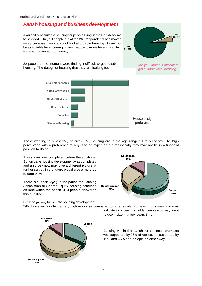#### *Parish housing and business development*

Availability of suitable housing for people living in the Parish seems to be good. Only 13 people out of the 261 respondents had moved away because they could not find affordable housing. It may not be as suitable for encouraging new people to move here to maintain a mixed balanced community.

22 people at the moment were finding it difficult to get suitable housing. The design of housing that they are looking for:





Those wanting to rent (33%) or buy (67%) housing are in the age range 21 to 59 years. The high percentage with a preference to buy is to be expected but realistically they may not be in a financial position to do so.

This survey was completed before the additional Sutton Lane housing development was completed and a survey now may give a different picture. A further survey in the future would give a more up to date view.

There is support *(right)* in the parish for Housing Association or Shared Equity housing schemes on land within the parish. 410 people answered this question.



But less *(below)* for private housing development. 34% however is in fact a very high response compared to other similar surveys in this area and may



indicate a concern from older people who may want to down size in a few years time.

Building within the parish for business premises was supported by 36% of replies, not supported by 19% and 45% had no opinion either way.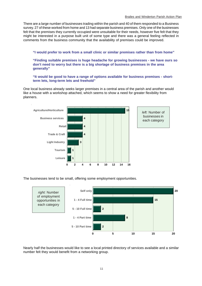There are a large number of businesses trading within the parish and 40 of them responded to a Business survey. 27 of these worked from home and 13 had separate business premises. Only one of the businesses felt that the premises they currently occupied were unsuitable for their needs, however five felt that they might be interested in a purpose built unit of some type and there was a general feeling reflected in comments from the business community that the availability of premises could be improved.

**"I would prefer to work from a small clinic or similar premises rather than from home"**

**"Finding suitable premises is huge headache for growing businesses - we have ours so don't need to worry but there is a big shortage of business premises in the area generally"**

**"It would be good to have a range of options available for business premises - shortterm lets, long-term lets and freehold"**

One local business already seeks larger premises in a central area of the parish and another would like a house with a workshop attached, which seems to show a need for greater flexibility from planners.



The businesses tend to be small, offering some employment opportunities.



Nearly half the businesses would like to see a local printed directory of services available and a similar number felt they would benefit from a networking group.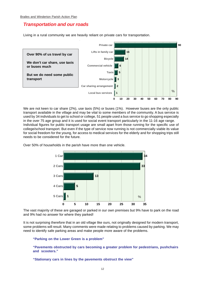#### *Transportation and our roads*

Living in a rural community we are heavily reliant on private cars for transportation.



We are not keen to car share (2%), use taxis (5%) or buses (1%). However buses are the only public transport available in the village and may be vital to some members of the community. A bus service is used by 34 individuals to get to school or college, 51 people used a bus service to go shopping especially in the over 75 age group and it is used for social event transport particularly in the 11-16 age range. Individual figures for public transport usage are small apart from those running for the specific use of college/school transport. But even if the type of service now running is not commercially viable its value for social freedom for the young, for access to medical services for the elderly and for shopping trips still needs to be considered for the future.



Over 50% of households in the parish have more than one vehicle.

The vast majority of these are garaged or parked in our own premises but 9% have to park on the road and 9% had no answer for where they parked!

It is not surprising therefore that in an old village like ours, not originally designed for modern transport, some problems will result. Many comments were made relating to problems caused by parking. We may need to identify safe parking areas and make people more aware of the problems.

#### **"Parking on the Lower Green is a problem"**

**"Pavements obstructed by cars becoming a greater problem for pedestrians, pushchairs and scooters."**

**"Stationary cars in lines by the pavements obstruct the view"**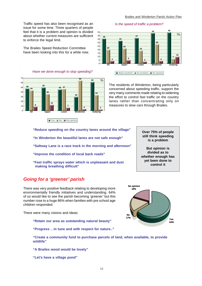**44 45**

**7**

**10**

 $\overline{\frac{9}{6}}$ 

**28**

*Is the speed of traffic a problem?*

**37**

**33**

**<sup>20</sup> <sup>22</sup>**

**All Upper Lower Winderton Outlying** 

**Major problem A** No problem **No opinion** 

**<sup>4</sup> <sup>5</sup> <sup>3</sup> <sup>4</sup>**

**19**

#### Traffic speed has also been recognised as an issue for some time. Three quarters of people feel that it is a problem and opinion is divided about whether current measures are sufficient to enforce the legal limit.

The Brailes Speed Reduction Committee have been looking into this for a while now.

#### *Have we done enough to stop speeding?*



The residents of Winderton, being particularly concerned about speeding traffic, support the very many comments made relating to widening the effort to control fast traffic on the country lanes rather than concentrating only on measures to slow cars through Brailes.

**"Reduce speeding on the country lanes around the village"**

**"In Winderton the beautiful lanes are not safe enough"**

- **"Saltway Lane is a race track in the morning and afternoon"**
- **"Improve the condition of local back roads"**
- **"Fast traffic sprays water which is unpleasant and dust making breathing difficult"**

#### *Going for a 'greener' parish*

There was very positive feedback relating to developing more environmentally friendly initiatives and understanding. 64% of us would like to see the parish becoming 'greener' but this number rose to a huge 86% when families with pre school age children responded.

There were many visions and ideas:

**"Retain our area as outstanding natural beauty"**

**"Progress .. in tune and with respect for nature.."**



**"Create a community fund to purchase parcels of land, when available, to provide wildlife"**

13

**"A Brailes wood would be lovely"**

**"Let's have a village pond"**

**Over 75% of people still think speeding is a problem**

**But opinion is divided as to whether enough has yet been done to control it**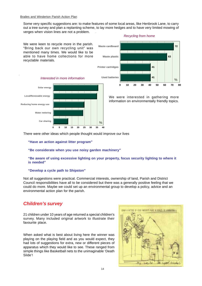Some very specific suggestions are: to make features of some local areas, like Henbrook Lane, to carry out a tree survey and plan a replanting scheme, to lay more hedges and to have very limited mowing of verges when vision lines are not a problem.





**0 10 20 30 40 50 60 70 80 72 63 41** %

We were interested in gathering more information on environmentally friendly topics.

There were other ideas which people thought would improve our lives

**"Have an action against litter program"**

**"Be considerate when you use noisy garden machinery"**

**"Be aware of using excessive lighting on your property, focus security lighting to where it is needed"**

#### **"Develop a cycle path to Shipston"**

Not all suggestions were practical. Commercial interests, ownership of land, Parish and District Council responsibilities have all to be considered but there was a generally positive feeling that we could do more. Maybe we could set up an environmental group to develop a policy, advice and an environmental action plan for the parish.

#### *Children's survey*

21 children under 10 years of age returned a special children's survey. Many included original artwork to illustrate their favourite place.

When asked what is best about living here the winner was playing on the playing field and as you would expect, they had lots of suggestions for extra, new or different pieces of apparatus which they would like to see. These ranged from simple things like Basketball nets to the unimaginable 'Death Slide'!

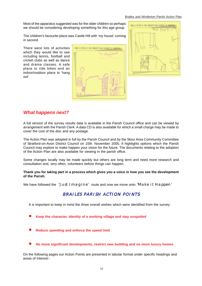#### Brailes and Winderton Parish Action Plan

Most of the apparatus suggested was for the older children so perhaps we should be considering developing something for this age group.

The children's favourite place was Castle Hill with 'my house' coming in second.

There were lots of activities which they would like to see including tennis, football and cricket clubs as well as dance and drama classes. A safe place to ride bikes and an indoor/outdoor place to 'hang out'





#### *What happens next?*

A full version of the survey results data is available in the Parish Council office and can be viewed by arrangement with the Parish Clerk. A data CD is also available for which a small charge may be made to cover the cost of the disc and any postage.

The Action Plan was adopted in full by the Parish Council and by the Stour Area Community Committee of Stratford-on-Avon District Council on 15th. November 2005. It highlights options which the Parish Council may explore to make happen your vision for the future. The documents relating to the adoption of the Action Plan are also available for viewing in the parish office.

Some changes locally may be made quickly but others are long term and need more research and consultation and, very often, volunteers before things can happen.

#### **Thank you for taking part in a process which gives you a voice in how you see the development of the Parish.**

We have followed the 'Just Imagine' route and now we move onto 'Make it Happen'

#### BRAILES PARISH ACTION POINTS

It is important to keep in mind the three overall wishes which were identified from the survey:

- **Keep the character, identity of a working village and stay unspoiled**
- **Reduce speeding and enforce the speed limit**
- **No more significant developments, restrict new building and no more luxury homes**

On the following pages our Action Points are presented in tabular format under specific headings and areas of interest:-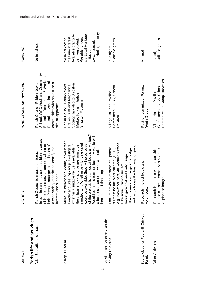| <b>ASPECT</b>                                           | <b>ACTION</b>                                                                                                                                                                                                                                                                         | WHO COULD BE INVOLVED                                                                                                                                                                    | <b>FUNDING</b>                                                                                         |
|---------------------------------------------------------|---------------------------------------------------------------------------------------------------------------------------------------------------------------------------------------------------------------------------------------------------------------------------------------|------------------------------------------------------------------------------------------------------------------------------------------------------------------------------------------|--------------------------------------------------------------------------------------------------------|
| Parish life and activities<br>Adult Educational classes | in evening and day courses. Identify areas<br>of interest and any volunteers willing to<br>help. Perhaps arrange taster classes of<br>a wide variety of topics to identify real<br>Parish Council to measure interest<br>interest and support.                                        | School, WCC Adult and Community<br>Education Department & Workers<br>Educational Association. Local<br>communities who have tried a<br>Parish Council, Feldon News,<br>similar approach. | No initial cost                                                                                        |
| Village Museum                                          | Measure interest and identify a volunteer<br>Whether any funding grant<br>whether a suitable venue is available in<br>Leader and Steering group. Investigate<br>the village and what changes would be<br>needed to it.                                                                | Parish Council, Feldon News,<br>Society. Talk also to Shipston<br>Brailes Craft and Mechanical<br>Market Towns Initiative.<br>Shipston Museum.                                           | Available grants to<br>measure interest.<br>Possible funders<br>No initial cost to<br>be investigated. |
| Activities for Children / Youth:<br>16                  | of the project. Is it aimed at locals or visitors?<br>Would be a long term project only viable with<br>could be available. Specify the purpose<br>a business plan to show how it could<br>become self-financing.                                                                      |                                                                                                                                                                                          | the Heritage Lottery<br>www.lhi.org.uk and<br>are Local Heritage<br>Initiative -                       |
| Playing field area                                      | and help choose the best way to spend it.<br>e.g. Basketball nets, All weather surface<br>Look at provision of some equipment<br>The children could be given a budget<br>suitable for the older children (10-15)<br>Investigate cost and likely usage.<br>Bike area, Trampoline, etc. | Committees, FOBS, School,<br>Village Hall and Pavilion<br>Children.                                                                                                                      | available grants<br>Investigate                                                                        |
| Sports clubs for Football, Cricket,<br>Tennis           | Research interest levels and<br>volunteers.                                                                                                                                                                                                                                           | Pavilion committee, Parents,<br>Youth Group.                                                                                                                                             | Minimal                                                                                                |
| Other Activities                                        | Research interest in various activities<br>Dance classes, Drama, Arts & Crafts,<br>A 'place to hang out'.                                                                                                                                                                             | Parents, Youth Group, Brownies<br>Committees, FOBS, School<br>Village Hall and Pavilion                                                                                                  | available grants.<br>Investigate                                                                       |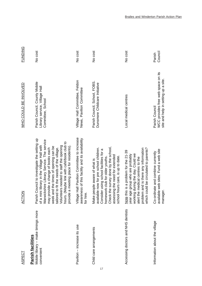| <b>ASPECT</b>                                                         | ACTION                                                                                                                                                                                                                                                                                                                                                                                                 | WHO COULD BE INVOLVED                                                                       | <b>FUNDING</b>    |
|-----------------------------------------------------------------------|--------------------------------------------------------------------------------------------------------------------------------------------------------------------------------------------------------------------------------------------------------------------------------------------------------------------------------------------------------------------------------------------------------|---------------------------------------------------------------------------------------------|-------------------|
| Mobile library - make timings more<br>Parish facilities<br>convenient | Council to investigate the setting up<br>Warwickshire Library Service. The service<br>hours. (Maybe link with café/book club to<br>of a mini library in the Village Hall with<br>Volunteers needed to staff the opening<br>week and the times of opening can be<br>provide a meeting place for residents)<br>may provide a change of books each<br>tailored to fit the needs of the village.<br>Parish | Parish Council, County Mobile<br>Library service, Village Hall<br>Committee, School         | No cost           |
| Pavilion - increase its use                                           | Village Hall Pavilion Committee to increase<br>awareness of this facility and its availability<br>for hire.                                                                                                                                                                                                                                                                                            | Village Hall Committee, Feldon<br>News, Pavilion Committee                                  | No cost           |
| Child care arrangements                                               | available now for pre school children.<br>the survey done by the school,<br>Consider using school facilities for a<br>assessing the need for extended<br>hours care, is up to date.<br>homework club for older youths.<br>people aware of what is<br>Check<br>school<br>Make <sub>l</sub>                                                                                                              | Parish Council, School, FOBS.<br>Dunsmore Childcare Initiative                              | No cost           |
| Accessing doctors and NHS dentists                                    | problem and is there any information<br>could be circulated to parents?<br>Note this is a problem for the 21-39<br>working during the day. Could we<br>year age group who are probably<br>alert the medical centres to the<br>which                                                                                                                                                                    | Local medical centres                                                                       | No cost           |
| Information about the village                                         | available web sites. Fund a web site<br>Co-ordinate and combine currently<br>manager.                                                                                                                                                                                                                                                                                                                  | WCC provides free web space on its<br>site and help in setting up a site.<br>Parish Council | Council<br>Parish |

17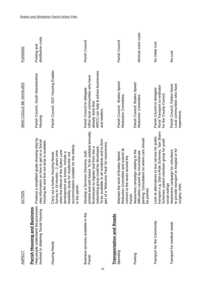| <b>ASPECT</b>                                                                                               | ACTION                                                                                                                                                                                                                                                           | WHO COULD BE INVOLVED                                                                                                                       | <b>FUNDING</b>                     |
|-------------------------------------------------------------------------------------------------------------|------------------------------------------------------------------------------------------------------------------------------------------------------------------------------------------------------------------------------------------------------------------|---------------------------------------------------------------------------------------------------------------------------------------------|------------------------------------|
| Help people understand the processes<br>Parish Housing and Business<br>involved in obtaining Social Housing | Produce a simplified guide showing step by<br>step information on how to get on a Social<br>Housing list and find out what is available.                                                                                                                         | Parish Council, South Warwickshire<br>Housing                                                                                               | distribution costs<br>Printing and |
| Housing<br>Needs                                                                                            | accommodation suitable for the elderly<br>when the effects of the Sutton Lane<br>Survey in 18 months - 2 years time.<br>Carry out a further Housing Needs<br>development are known. Include a<br>feasibility study for residential unit<br>in the parish.        | Parish Council, SDC Housing Enabler                                                                                                         |                                    |
| Business services available in the<br>Parish<br>18                                                          | printed and web based. To be updated annually.<br>To be available to all residents and to form<br>part of a 'Welcome Pack' for newcomers.<br>Businesses to register and from this a<br>networking group could be developed<br>Develop a Services Directory, both | WRCC can help & advise businesses<br>Other local communities who have<br>Parish Council to delegate<br>already done this/<br>and retailers. | Parish Council                     |
| <b>Transportation and Roads</b><br>Speeding                                                                 | Reduction Committee and extend its<br>Maintain the work of Brailes Speed<br>concern to the lanes around the                                                                                                                                                      | Parish Council, Brailes Speed<br>Reduction Committee.                                                                                       | Parish Council                     |
| Parking                                                                                                     | parking. Consultation on where cars should<br>Awareness campaign relating to the<br>difficulties caused by inconsiderate<br>be parked.<br>Parish.                                                                                                                | Parish Council, Brailes Speed<br>Reduction Committee                                                                                        | Minimal extra costs                |
| Transport for the Community                                                                                 | transport e.g. Dial-a-Ride Schemes, Taxi Share<br>Look at alternatives to bus service for public<br>Schemes, parent volunteer group for youth<br>social outings                                                                                                  | Rural Transport co-ordinator<br>Parish Council to delegate<br>for the County Council.                                                       | No initial cost                    |
| Transport for medical needs                                                                                 | to provide transport to hospital or for<br>Awareness campaign for volunteers<br>surgery visits                                                                                                                                                                   | Local communities who have<br>Parish Council, Feldon News<br>experience.                                                                    | No cost                            |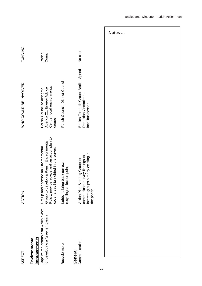| ASPECT                                                                                                                  | <b>ZOLDA</b>                                                                                                                                                             | WHO COULD BE INVOLVED                                                                            | <b>FUNDING</b>    |
|-------------------------------------------------------------------------------------------------------------------------|--------------------------------------------------------------------------------------------------------------------------------------------------------------------------|--------------------------------------------------------------------------------------------------|-------------------|
| Capture the enthusiasm which exists<br>for developing a 'greener' parish<br><b>Environmental</b><br><b>Improvements</b> | Policy, provide advice and an action plan to<br>Group to develop a Parish Environmental<br>Set up and sponsor an Environmental<br>cover areas highlighted in the survey. | Centre, local environmental<br>Agenda 21, Energy Advice<br>Parish Council to delegate<br>groups. | Council<br>Parish |
| Recycle more                                                                                                            | Lobby to bring back our own<br>recycling collection point                                                                                                                | Parish Council, District Council                                                                 |                   |
| Communication<br>General                                                                                                | interest groups already existing in<br>communicate survey findings to<br>Action Plan Steering Group to<br>the parish.                                                    | Brailes Footpath Group, Brailes Speed<br>Reduction Committee,.<br>local businesses.              | No cost           |
|                                                                                                                         |                                                                                                                                                                          |                                                                                                  |                   |

**Notes ...**